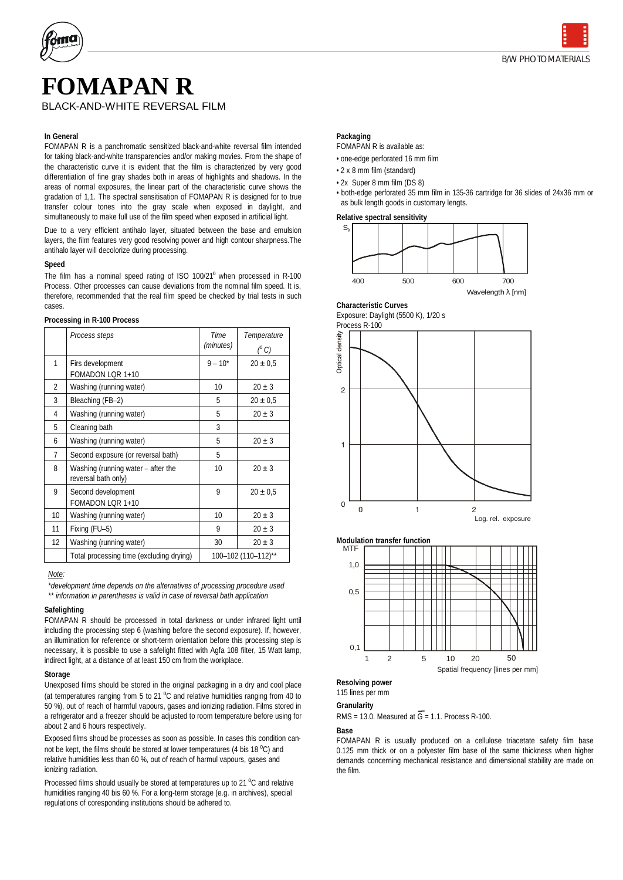

# **FOMAPAN R**

#### **In General**

FOMAPAN R is a panchromatic sensitized black-and-white reversal film intended for taking black-and-white transparencies and/or making movies. From the shape of the characteristic curve it is evident that the film is characterized by very good differentiation of fine gray shades both in areas of highlights and shadows. In the areas of normal exposures, the linear part of the characteristic curve shows the gradation of 1,1. The spectral sensitisation of FOMAPAN R is designed for to true transfer colour tones into the gray scale when exposed in daylight, and simultaneously to make full use of the film speed when exposed in artificial light.

Due to a very efficient antihalo layer, situated between the base and emulsion layers, the film features very good resolving power and high contour sharpness.The antihalo layer will decolorize during processing.

#### **Speed**

The film has a nominal speed rating of ISO  $100/21^{\circ}$  when processed in R-100 Process. Other processes can cause deviations from the nominal film speed. It is, therefore, recommended that the real film speed be checked by trial tests in such cases.

| Processing in R-100 Process |  |  |
|-----------------------------|--|--|
|                             |  |  |

|                   | Process steps                                             | Time<br>(minutes)   | Temperature   |
|-------------------|-----------------------------------------------------------|---------------------|---------------|
|                   |                                                           |                     | $(^{\circ}C)$ |
| 1                 | Firs development                                          | $9 - 10^*$          | $20 \pm 0.5$  |
|                   | FOMADON LOR 1+10                                          |                     |               |
| $\overline{2}$    | Washing (running water)                                   | 10                  | $20 \pm 3$    |
| 3                 | Bleaching (FB-2)                                          | 5                   | $20 \pm 0.5$  |
| 4                 | Washing (running water)                                   | 5                   | $20 \pm 3$    |
| 5                 | Cleaning bath                                             | 3                   |               |
| 6                 | Washing (running water)                                   | 5                   | $20 \pm 3$    |
| $\overline{7}$    | Second exposure (or reversal bath)                        | 5                   |               |
| 8                 | Washing (running water - after the<br>reversal bath only) | 10                  | $20 + 3$      |
| 9                 | Second development<br>FOMADON LOR 1+10                    | 9                   | $20 \pm 0.5$  |
| 10                | Washing (running water)                                   | 10 <sup>10</sup>    | $20 + 3$      |
| 11                | Fixing (FU-5)                                             | 9                   | $20 \pm 3$    |
| $12 \overline{ }$ | Washing (running water)                                   | 30                  | $20 \pm 3$    |
|                   | Total processing time (excluding drying)                  | 100-102 (110-112)** |               |

#### *Note:*

*\*development time depends on the alternatives of processing procedure used \*\* information in parentheses is valid in case of reversal bath application*

#### **Safelighting**

FOMAPAN R should be processed in total darkness or under infrared light until including the processing step 6 (washing before the second exposure). If, however, an illumination for reference or short-term orientation before this processing step is necessary, it is possible to use a safelight fitted with Agfa 108 filter, 15 Watt lamp, indirect light, at a distance of at least 150 cm from the workplace.

#### **Storage**

Unexposed films should be stored in the original packaging in a dry and cool place (at temperatures ranging from 5 to 21  $^{\circ}$ C and relative humidities ranging from 40 to 50 %), out of reach of harmful vapours, gases and ionizing radiation. Films stored in a refrigerator and a freezer should be adjusted to room temperature before using for about 2 and 6 hours respectively.

Exposed films shoud be processes as soon as possible. In cases this condition cannot be kept, the films should be stored at lower temperatures (4 bis 18 °C) and relative humidities less than 60 %, out of reach of harmul vapours, gases and ionizing radiation.

Processed films should usually be stored at temperatures up to 21 °C and relative humidities ranging 40 bis 60 %. For a long-term storage (e.g. in archives), special regulations of coresponding institutions should be adhered to.

#### **Packaging**

FOMAPAN R is available as:

• one-edge perforated 16 mm film

• 2 x 8 mm film (standard)

• 2x Super 8 mm film (DS 8)

• both-edge perforated 35 mm film in 135-36 cartridge for 36 slides of 24x36 mm or as bulk length goods in customary lengts.

**Relative spectral sensitivity**



**Characteristic Curves** Exposure: Daylight (5500 K), 1/20 s





115 lines per mm

**Granularity** 

RMS = 13.0. Measured at  $\overline{G}$  = 1.1. Process R-100.

**Base**

FOMAPAN R is usually produced on a cellulose triacetate safety film base 0.125 mm thick or on a polyester film base of the same thickness when higher demands concerning mechanical resistance and dimensional stability are made on the film.